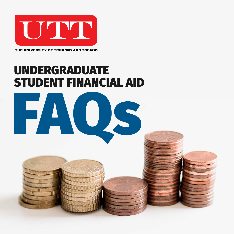

THE UNIVERSITY OF TRINIDAD AND TOBAGO

## UNDERGRADUATE STUDENT FINANCIAL AID



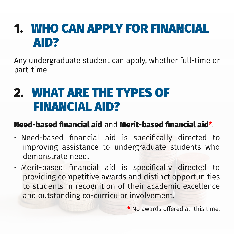## 1. WHO CAN APPLY FOR FINANCIAL AID?

Any undergraduate student can apply, whether full-time or part-time.

# 2. WHAT ARE THE TYPES OF FINANCIAL AID?

#### Need-based financial aid and Merit-based financial aid\* .

- Need-based financial aid is specifically directed to improving assistance to undergraduate students who demonstrate need.
- Merit-based financial aid is specifically directed to

providing competitive awards and distinct opportunities to students in recognition of their academic excellence and outstanding co-curricular involvement.

#### \* No awards offered at this time.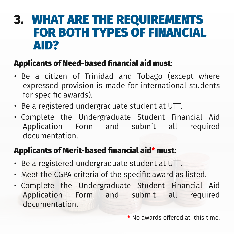### 3. WHAT ARE THE REQUIREMENTS FOR BOTH TYPES OF FINANCIAL AID?

#### Applicants of Need-based financial aid must:

- Be a registered undergraduate student at UTT.
- Meet the CGPA criteria of the specific award as listed.
- Be a citizen of Trinidad and Tobago (except where expressed provision is made for international students for specific awards).
- Be a registered undergraduate student at UTT.
- Complete the Undergraduate Student Financial Aid Application Form and submit all required documentation.

#### Applicants of Merit-based financial aid\* must:

• Complete the Undergraduate Student Financial Aid Application Form and submit all required documentation.

#### \* No awards offered at this time.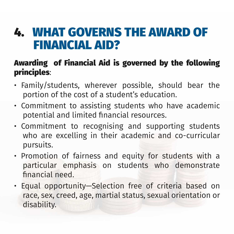## 4. WHAT GOVERNS THE AWARD OF FINANCIAL AID?

#### Awarding of Financial Aid is governed by the following principles:

- Family/students, wherever possible, should bear the portion of the cost of a student's education.
- Commitment to assisting students who have academic potential and limited financial resources.
- Commitment to recognising and supporting students who are excelling in their academic and co-curricular pursuits.
- Promotion of fairness and equity for students with a particular emphasis on students who demonstrate financial need.

• Equal opportunity—Selection free of criteria based on race, sex, creed, age, martial status, sexual orientation or disability.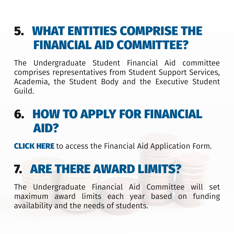## 5. WHAT ENTITIES COMPRISE THE FINANCIAL AID COMMITTEE?

The Undergraduate Student Financial Aid committee comprises representatives from Student Support Services, Academia, the Student Body and the Executive Student Guild.

# 6. HOW TO APPLY FOR FINANCIAL AID?

[CLICK HERE](https://forms.office.com/r/4XmgDQa85K) to access the Financial Aid Application Form.

#### 7. ARE THERE AWARD LIMIT

#### The Undergraduate Financial Aid Committee will set maximum award limits each year based on funding availability and the needs of students.